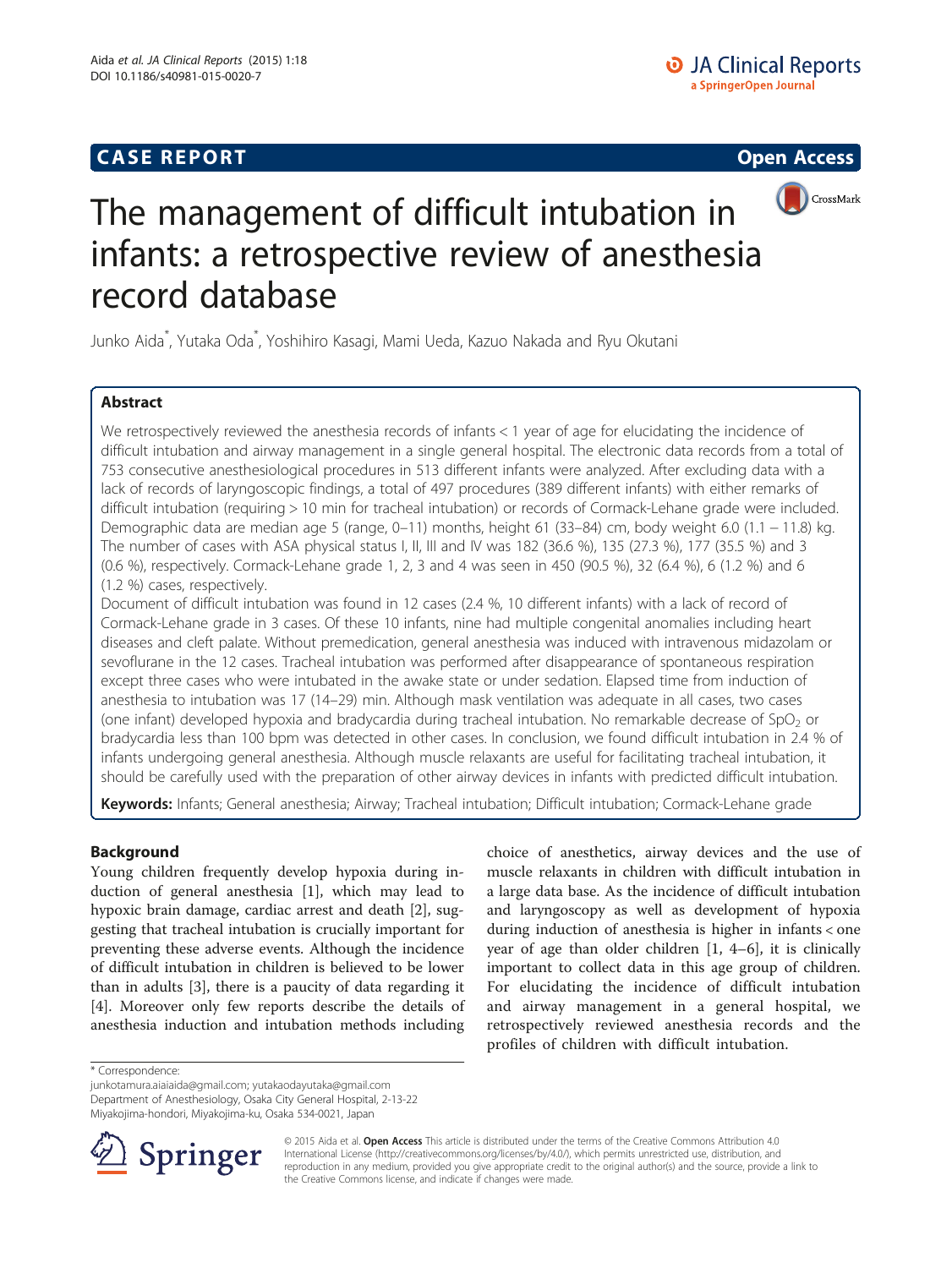# **CASE REPORT CASE REPORT CASE REPORT**



# The management of difficult intubation in infants: a retrospective review of anesthesia record database

Junko Aida\* , Yutaka Oda\* , Yoshihiro Kasagi, Mami Ueda, Kazuo Nakada and Ryu Okutani

# Abstract

We retrospectively reviewed the anesthesia records of infants < 1 year of age for elucidating the incidence of difficult intubation and airway management in a single general hospital. The electronic data records from a total of 753 consecutive anesthesiological procedures in 513 different infants were analyzed. After excluding data with a lack of records of laryngoscopic findings, a total of 497 procedures (389 different infants) with either remarks of difficult intubation (requiring > 10 min for tracheal intubation) or records of Cormack-Lehane grade were included. Demographic data are median age 5 (range, 0–11) months, height 61 (33–84) cm, body weight 6.0 (1.1 − 11.8) kg. The number of cases with ASA physical status I, II, III and IV was 182 (36.6 %), 135 (27.3 %), 177 (35.5 %) and 3 (0.6 %), respectively. Cormack-Lehane grade 1, 2, 3 and 4 was seen in 450 (90.5 %), 32 (6.4 %), 6 (1.2 %) and 6 (1.2 %) cases, respectively.

Document of difficult intubation was found in 12 cases (2.4 %, 10 different infants) with a lack of record of Cormack-Lehane grade in 3 cases. Of these 10 infants, nine had multiple congenital anomalies including heart diseases and cleft palate. Without premedication, general anesthesia was induced with intravenous midazolam or sevoflurane in the 12 cases. Tracheal intubation was performed after disappearance of spontaneous respiration except three cases who were intubated in the awake state or under sedation. Elapsed time from induction of anesthesia to intubation was 17 (14–29) min. Although mask ventilation was adequate in all cases, two cases (one infant) developed hypoxia and bradycardia during tracheal intubation. No remarkable decrease of  $SpO<sub>2</sub>$  or bradycardia less than 100 bpm was detected in other cases. In conclusion, we found difficult intubation in 2.4 % of infants undergoing general anesthesia. Although muscle relaxants are useful for facilitating tracheal intubation, it should be carefully used with the preparation of other airway devices in infants with predicted difficult intubation.

Keywords: Infants; General anesthesia; Airway; Tracheal intubation; Difficult intubation; Cormack-Lehane grade

# Background

Young children frequently develop hypoxia during induction of general anesthesia [\[1](#page-3-0)], which may lead to hypoxic brain damage, cardiac arrest and death [[2](#page-3-0)], suggesting that tracheal intubation is crucially important for preventing these adverse events. Although the incidence of difficult intubation in children is believed to be lower than in adults [\[3](#page-3-0)], there is a paucity of data regarding it [[4\]](#page-3-0). Moreover only few reports describe the details of anesthesia induction and intubation methods including

choice of anesthetics, airway devices and the use of muscle relaxants in children with difficult intubation in a large data base. As the incidence of difficult intubation and laryngoscopy as well as development of hypoxia during induction of anesthesia is higher in infants < one year of age than older children [\[1](#page-3-0), [4](#page-3-0)–[6](#page-3-0)], it is clinically important to collect data in this age group of children. For elucidating the incidence of difficult intubation and airway management in a general hospital, we retrospectively reviewed anesthesia records and the profiles of children with difficult intubation.

\* Correspondence:

[junkotamura.aiaiaida@gmail.com;](mailto:junkotamura.aiaiaida@gmail.com) [yutakaodayutaka@gmail.com](mailto:yutakaodayutaka@gmail.com) Department of Anesthesiology, Osaka City General Hospital, 2-13-22

Miyakojima-hondori, Miyakojima-ku, Osaka 534-0021, Japan



© 2015 Aida et al. Open Access This article is distributed under the terms of the Creative Commons Attribution 4.0 International License ([http://creativecommons.org/licenses/by/4.0/\)](http://creativecommons.org/licenses/by/4.0/), which permits unrestricted use, distribution, and reproduction in any medium, provided you give appropriate credit to the original author(s) and the source, provide a link to the Creative Commons license, and indicate if changes were made.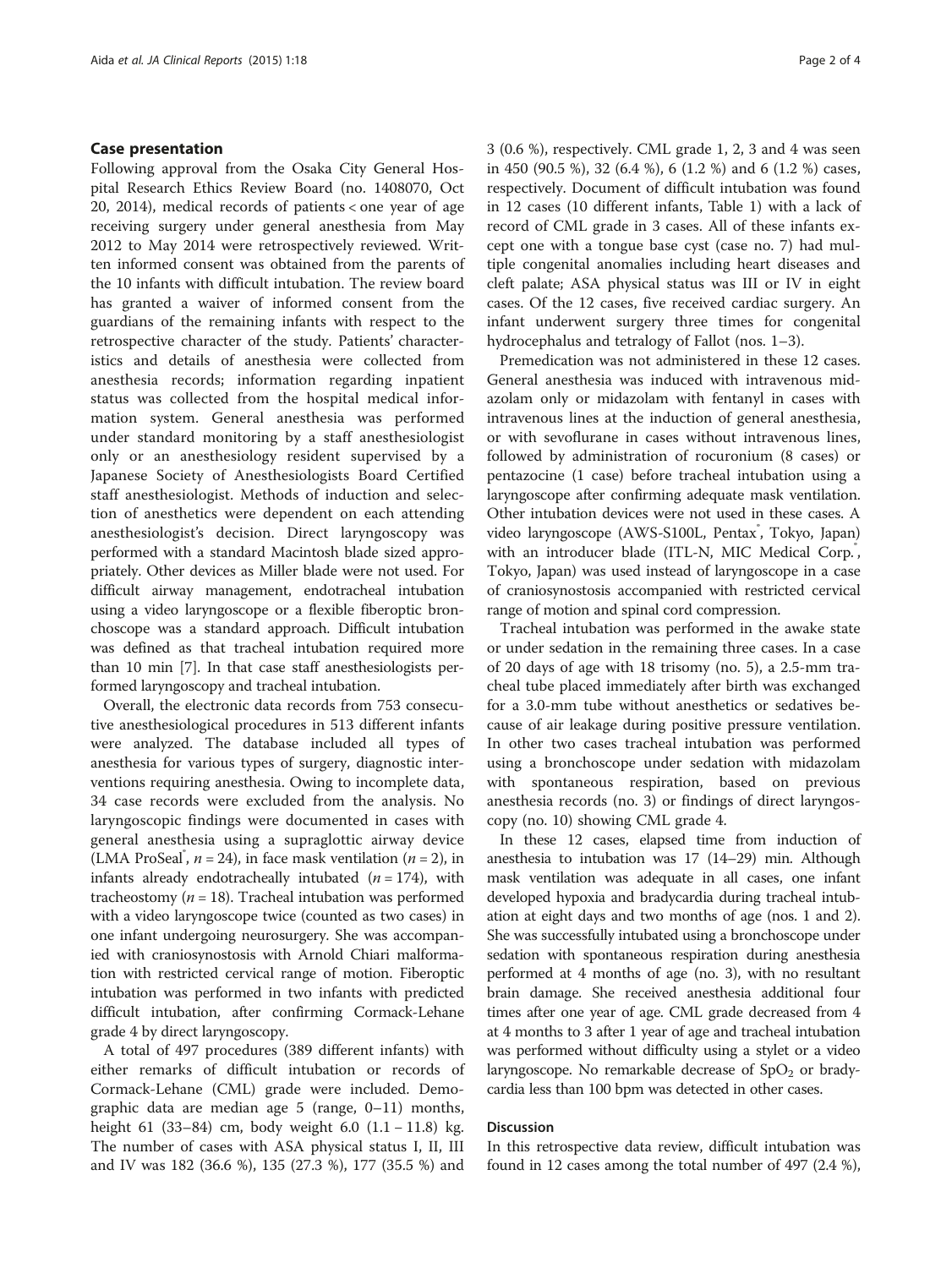#### Case presentation

Following approval from the Osaka City General Hospital Research Ethics Review Board (no. 1408070, Oct 20, 2014), medical records of patients < one year of age receiving surgery under general anesthesia from May 2012 to May 2014 were retrospectively reviewed. Written informed consent was obtained from the parents of the 10 infants with difficult intubation. The review board has granted a waiver of informed consent from the guardians of the remaining infants with respect to the retrospective character of the study. Patients' characteristics and details of anesthesia were collected from anesthesia records; information regarding inpatient status was collected from the hospital medical information system. General anesthesia was performed under standard monitoring by a staff anesthesiologist only or an anesthesiology resident supervised by a Japanese Society of Anesthesiologists Board Certified staff anesthesiologist. Methods of induction and selection of anesthetics were dependent on each attending anesthesiologist's decision. Direct laryngoscopy was performed with a standard Macintosh blade sized appropriately. Other devices as Miller blade were not used. For difficult airway management, endotracheal intubation using a video laryngoscope or a flexible fiberoptic bronchoscope was a standard approach. Difficult intubation was defined as that tracheal intubation required more than 10 min [[7](#page-3-0)]. In that case staff anesthesiologists performed laryngoscopy and tracheal intubation.

Overall, the electronic data records from 753 consecutive anesthesiological procedures in 513 different infants were analyzed. The database included all types of anesthesia for various types of surgery, diagnostic interventions requiring anesthesia. Owing to incomplete data, 34 case records were excluded from the analysis. No laryngoscopic findings were documented in cases with general anesthesia using a supraglottic airway device (LMA ProSeal<sup>°</sup>,  $n = 24$ ), in face mask ventilation ( $n = 2$ ), in infants already endotracheally intubated  $(n = 174)$ , with tracheostomy ( $n = 18$ ). Tracheal intubation was performed with a video laryngoscope twice (counted as two cases) in one infant undergoing neurosurgery. She was accompanied with craniosynostosis with Arnold Chiari malformation with restricted cervical range of motion. Fiberoptic intubation was performed in two infants with predicted difficult intubation, after confirming Cormack-Lehane grade 4 by direct laryngoscopy.

A total of 497 procedures (389 different infants) with either remarks of difficult intubation or records of Cormack-Lehane (CML) grade were included. Demographic data are median age 5 (range, 0–11) months, height 61 (33–84) cm, body weight 6.0 (1.1 − 11.8) kg. The number of cases with ASA physical status I, II, III and IV was 182 (36.6 %), 135 (27.3 %), 177 (35.5 %) and 3 (0.6 %), respectively. CML grade 1, 2, 3 and 4 was seen in 450 (90.5 %), 32 (6.4 %), 6 (1.2 %) and 6 (1.2 %) cases, respectively. Document of difficult intubation was found in 12 cases (10 different infants, Table [1\)](#page-2-0) with a lack of record of CML grade in 3 cases. All of these infants except one with a tongue base cyst (case no. 7) had multiple congenital anomalies including heart diseases and cleft palate; ASA physical status was III or IV in eight cases. Of the 12 cases, five received cardiac surgery. An infant underwent surgery three times for congenital hydrocephalus and tetralogy of Fallot (nos. 1–3).

Premedication was not administered in these 12 cases. General anesthesia was induced with intravenous midazolam only or midazolam with fentanyl in cases with intravenous lines at the induction of general anesthesia, or with sevoflurane in cases without intravenous lines, followed by administration of rocuronium (8 cases) or pentazocine (1 case) before tracheal intubation using a laryngoscope after confirming adequate mask ventilation. Other intubation devices were not used in these cases. A video laryngoscope (AWS-S100L, Pentax<sup>\*</sup>, Tokyo, Japan) with an introducer blade (ITL-N, MIC Medical Corp.<sup>®</sup>, Tokyo, Japan) was used instead of laryngoscope in a case of craniosynostosis accompanied with restricted cervical range of motion and spinal cord compression.

Tracheal intubation was performed in the awake state or under sedation in the remaining three cases. In a case of 20 days of age with 18 trisomy (no. 5), a 2.5-mm tracheal tube placed immediately after birth was exchanged for a 3.0-mm tube without anesthetics or sedatives because of air leakage during positive pressure ventilation. In other two cases tracheal intubation was performed using a bronchoscope under sedation with midazolam with spontaneous respiration, based on previous anesthesia records (no. 3) or findings of direct laryngoscopy (no. 10) showing CML grade 4.

In these 12 cases, elapsed time from induction of anesthesia to intubation was 17 (14–29) min. Although mask ventilation was adequate in all cases, one infant developed hypoxia and bradycardia during tracheal intubation at eight days and two months of age (nos. 1 and 2). She was successfully intubated using a bronchoscope under sedation with spontaneous respiration during anesthesia performed at 4 months of age (no. 3), with no resultant brain damage. She received anesthesia additional four times after one year of age. CML grade decreased from 4 at 4 months to 3 after 1 year of age and tracheal intubation was performed without difficulty using a stylet or a video laryngoscope. No remarkable decrease of  $SpO<sub>2</sub>$  or bradycardia less than 100 bpm was detected in other cases.

### **Discussion**

In this retrospective data review, difficult intubation was found in 12 cases among the total number of 497 (2.4 %),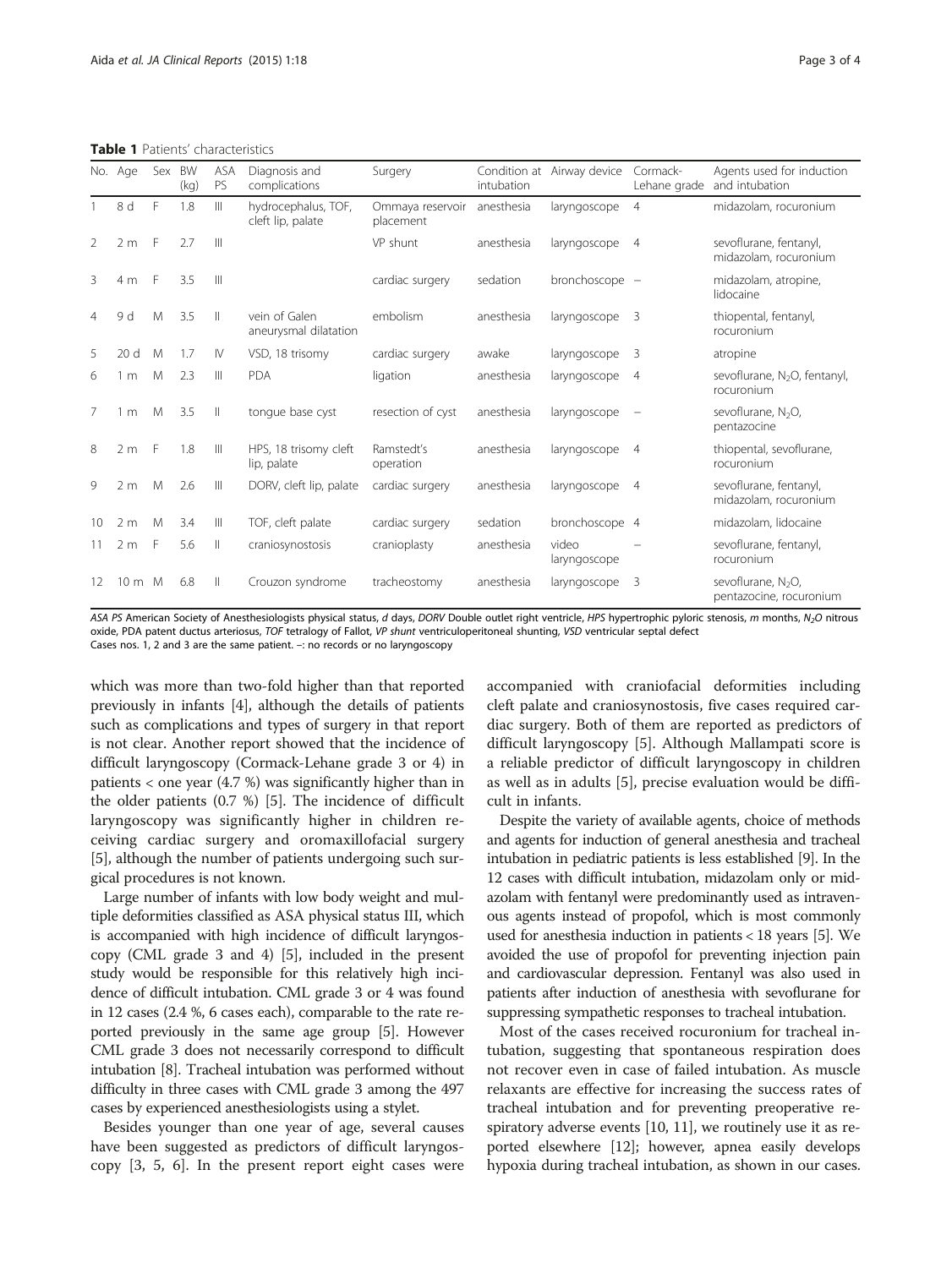<span id="page-2-0"></span>Table 1 Patients' characteristics

|    | No. Age          | Sex | BW<br>(kq) | <b>ASA</b><br>PS       | Diagnosis and<br>complications           | Surgery                       | intubation | Condition at Airway device | Cormack-<br>Lehane grade | Agents used for induction<br>and intubation               |
|----|------------------|-----|------------|------------------------|------------------------------------------|-------------------------------|------------|----------------------------|--------------------------|-----------------------------------------------------------|
|    | 8 d              | F   | 1.8        | Ш                      | hydrocephalus, TOF,<br>cleft lip, palate | Ommaya reservoir<br>placement | anesthesia | laryngoscope               | $\overline{4}$           | midazolam, rocuronium                                     |
| 2  | 2 <sub>m</sub>   | -F  | 2.7        | $\mathbb{H}$           |                                          | VP shunt                      | anesthesia | laryngoscope               | $\overline{4}$           | sevoflurane, fentanyl,<br>midazolam, rocuronium           |
| 3  | 4 m              | -F  | 3.5        | $\mathbb{H}$           |                                          | cardiac surgery               | sedation   | bronchoscope -             |                          | midazolam, atropine,<br>lidocaine                         |
| 4  | 9 d              | M   | 3.5        | $\parallel$            | vein of Galen<br>aneurysmal dilatation   | embolism                      | anesthesia | laryngoscope               | 3                        | thiopental, fentanyl,<br>rocuronium                       |
| 5  | 20 <sub>d</sub>  | M   | 1.7        | $\mathsf{I}\mathsf{V}$ | VSD, 18 trisomy                          | cardiac surgery               | awake      | laryngoscope               | 3                        | atropine                                                  |
| 6  | 1 <sub>m</sub>   | M   | 2.3        | Ш                      | <b>PDA</b>                               | ligation                      | anesthesia | laryngoscope               | $\overline{4}$           | sevoflurane, $N_2O$ , fentanyl,<br>rocuronium             |
| 7  | m                | M   | 3.5        | $\mathbb{I}$           | tonque base cyst                         | resection of cyst             | anesthesia | laryngoscope               |                          | sevoflurane, N <sub>2</sub> O,<br>pentazocine             |
| 8  | 2 <sub>m</sub>   | -F  | 1.8        | $\mathbb{H}$           | HPS, 18 trisomy cleft<br>lip, palate     | Ramstedt's<br>operation       | anesthesia | laryngoscope               | $\overline{4}$           | thiopental, sevoflurane,<br>rocuronium                    |
| 9  | 2 <sub>m</sub>   | M   | 2.6        | Ш                      | DORV, cleft lip, palate                  | cardiac surgery               | anesthesia | laryngoscope               | $\overline{4}$           | sevoflurane, fentanyl,<br>midazolam, rocuronium           |
| 10 | 2 <sub>m</sub>   | M   | 3.4        | Ш                      | TOF, cleft palate                        | cardiac surgery               | sedation   | bronchoscope 4             |                          | midazolam, lidocaine                                      |
|    | 2 <sub>m</sub>   | F   | 5.6        | Ш                      | craniosynostosis                         | cranioplasty                  | anesthesia | video<br>laryngoscope      |                          | sevoflurane, fentanyl,<br>rocuronium                      |
| 12 | $10 \text{ m}$ M |     | 6.8        | $\parallel$            | Crouzon syndrome                         | tracheostomy                  | anesthesia | laryngoscope               | 3                        | sevoflurane, N <sub>2</sub> O,<br>pentazocine, rocuronium |

ASA PS American Society of Anesthesiologists physical status, d days, DORV Double outlet right ventricle, HPS hypertrophic pyloric stenosis, m months, N<sub>2</sub>O nitrous oxide, PDA patent ductus arteriosus, TOF tetralogy of Fallot, VP shunt ventriculoperitoneal shunting, VSD ventricular septal defect Cases nos. 1, 2 and 3 are the same patient. –: no records or no laryngoscopy

which was more than two-fold higher than that reported previously in infants [[4](#page-3-0)], although the details of patients such as complications and types of surgery in that report is not clear. Another report showed that the incidence of difficult laryngoscopy (Cormack-Lehane grade 3 or 4) in patients < one year (4.7 %) was significantly higher than in the older patients (0.7 %) [\[5\]](#page-3-0). The incidence of difficult laryngoscopy was significantly higher in children receiving cardiac surgery and oromaxillofacial surgery [[5\]](#page-3-0), although the number of patients undergoing such surgical procedures is not known.

Large number of infants with low body weight and multiple deformities classified as ASA physical status III, which is accompanied with high incidence of difficult laryngoscopy (CML grade 3 and 4) [\[5\]](#page-3-0), included in the present study would be responsible for this relatively high incidence of difficult intubation. CML grade 3 or 4 was found in 12 cases (2.4 %, 6 cases each), comparable to the rate reported previously in the same age group [[5](#page-3-0)]. However CML grade 3 does not necessarily correspond to difficult intubation [[8](#page-3-0)]. Tracheal intubation was performed without difficulty in three cases with CML grade 3 among the 497 cases by experienced anesthesiologists using a stylet.

Besides younger than one year of age, several causes have been suggested as predictors of difficult laryngoscopy [[3, 5, 6](#page-3-0)]. In the present report eight cases were accompanied with craniofacial deformities including cleft palate and craniosynostosis, five cases required cardiac surgery. Both of them are reported as predictors of difficult laryngoscopy [\[5](#page-3-0)]. Although Mallampati score is a reliable predictor of difficult laryngoscopy in children as well as in adults [[5](#page-3-0)], precise evaluation would be difficult in infants.

Despite the variety of available agents, choice of methods and agents for induction of general anesthesia and tracheal intubation in pediatric patients is less established [\[9](#page-3-0)]. In the 12 cases with difficult intubation, midazolam only or midazolam with fentanyl were predominantly used as intravenous agents instead of propofol, which is most commonly used for anesthesia induction in patients < 18 years [[5](#page-3-0)]. We avoided the use of propofol for preventing injection pain and cardiovascular depression. Fentanyl was also used in patients after induction of anesthesia with sevoflurane for suppressing sympathetic responses to tracheal intubation.

Most of the cases received rocuronium for tracheal intubation, suggesting that spontaneous respiration does not recover even in case of failed intubation. As muscle relaxants are effective for increasing the success rates of tracheal intubation and for preventing preoperative respiratory adverse events [[10](#page-3-0), [11\]](#page-3-0), we routinely use it as reported elsewhere [\[12\]](#page-3-0); however, apnea easily develops hypoxia during tracheal intubation, as shown in our cases.